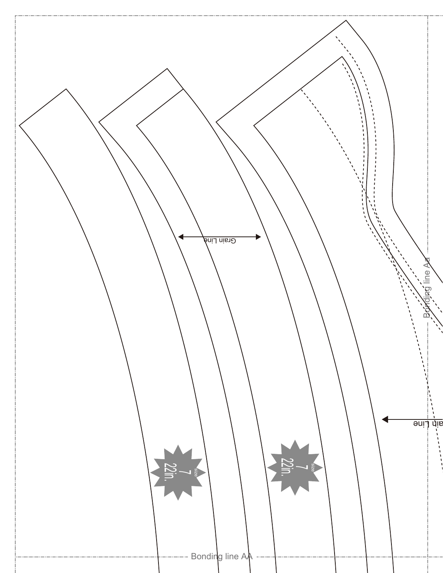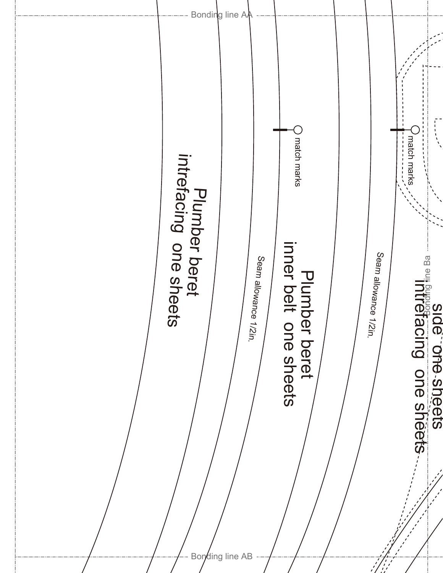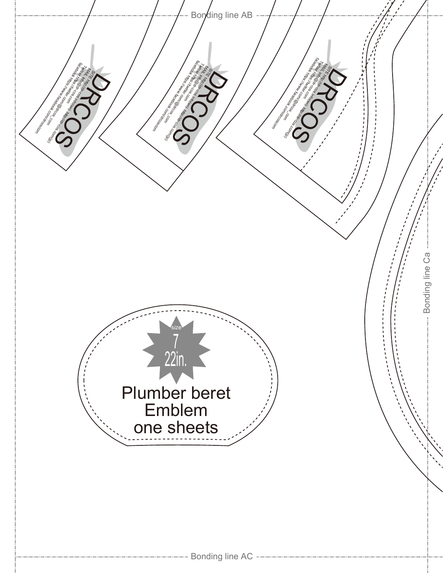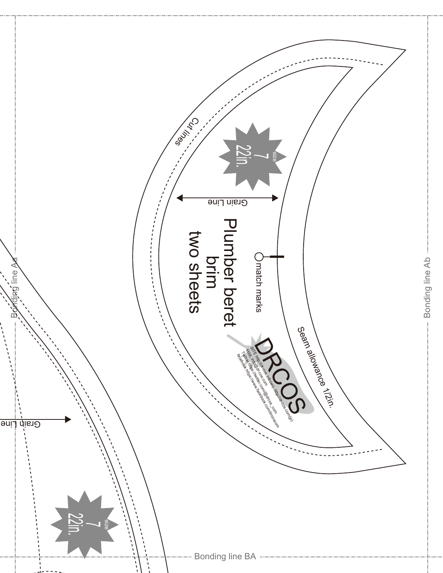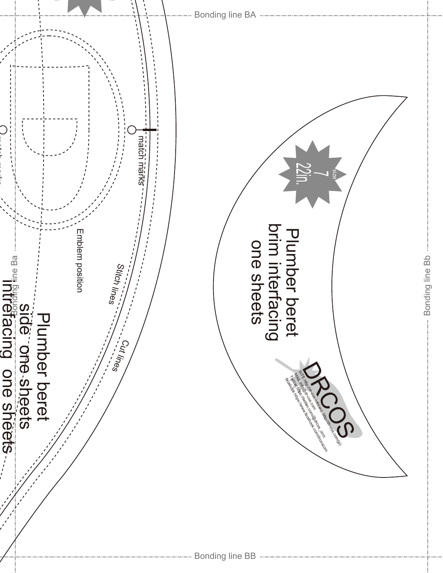